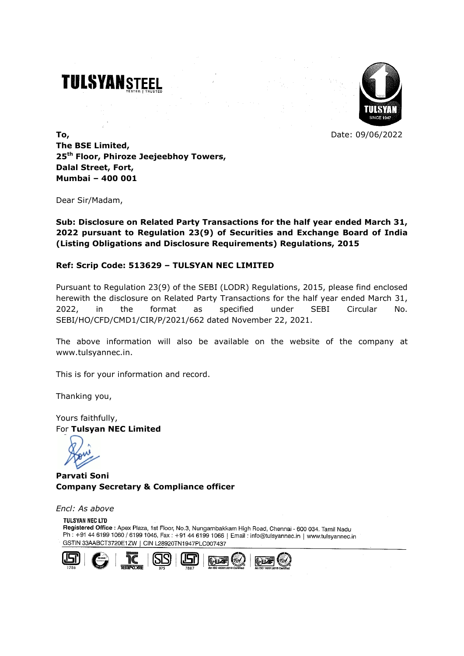# **TULSYANSTEEL**



**To,** Date: 09/06/2022 **The BSE Limited, 25th Floor, Phiroze Jeejeebhoy Towers, Dalal Street, Fort, Mumbai – 400 001**

Dear Sir/Madam,

**Sub: Disclosure on Related Party Transactions for the half year ended March 31, 2022 pursuant to Regulation 23(9) of Securities and Exchange Board of India (Listing Obligations and Disclosure Requirements) Regulations, 2015**

### **Ref: Scrip Code: 513629 – TULSYAN NEC LIMITED**

Pursuant to Regulation 23(9) of the SEBI (LODR) Regulations, 2015, please find enclosed herewith the disclosure on Related Party Transactions for the half year ended March 31, 2022, in the format as specified under SEBI Circular No. SEBI/HO/CFD/CMD1/CIR/P/2021/662 dated November 22, 2021.

The above information will also be available on the website of the company at www.tulsyannec.in.

This is for your information and record.

Thanking you,

Yours faithfully, For **Tulsyan NEC Limited**

**Parvati Soni Company Secretary & Compliance officer**

*Encl: As above*

**TULSYAN NEC LTD** Registered Office : Apex Plaza, 1st Floor, No.3, Nungambakkam High Road, Chennai - 600 034. Tamil Nadu Ph: +91 44 6199 1060 / 6199 1045, Fax: +91 44 6199 1066 | Email: info@tulsyannec.in | www.tulsyannec.in GSTIN 33AABCT3720E1ZW | CIN L28920TN1947PLC007437